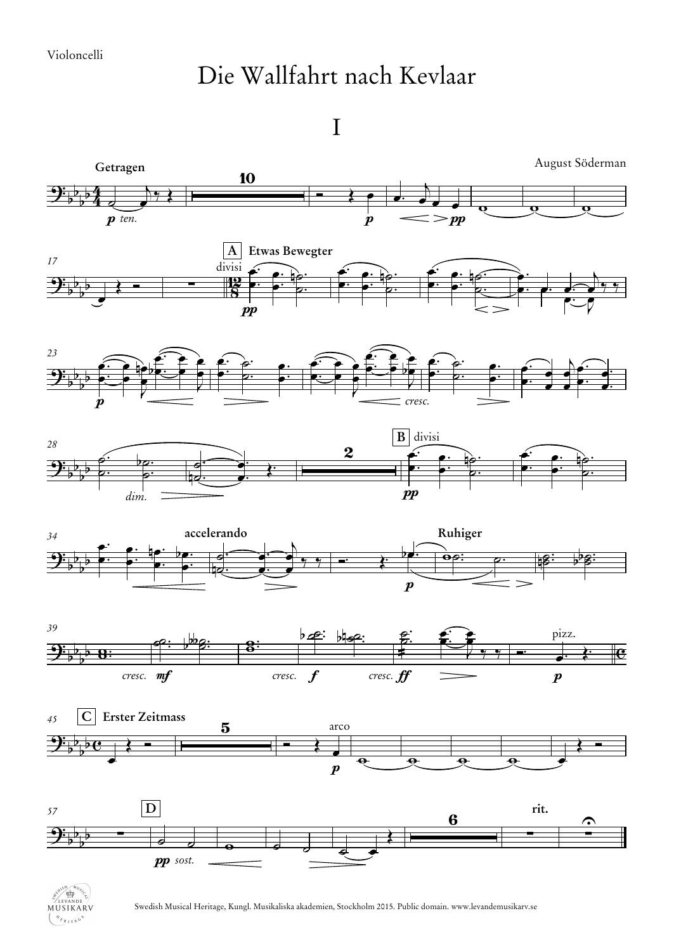## Die Wallfahrt nach Kevlaar





Swedish Musical Heritage, Kungl. Musikaliska akademien, Stockholm 2015. Public domain. www.levandemusikarv.se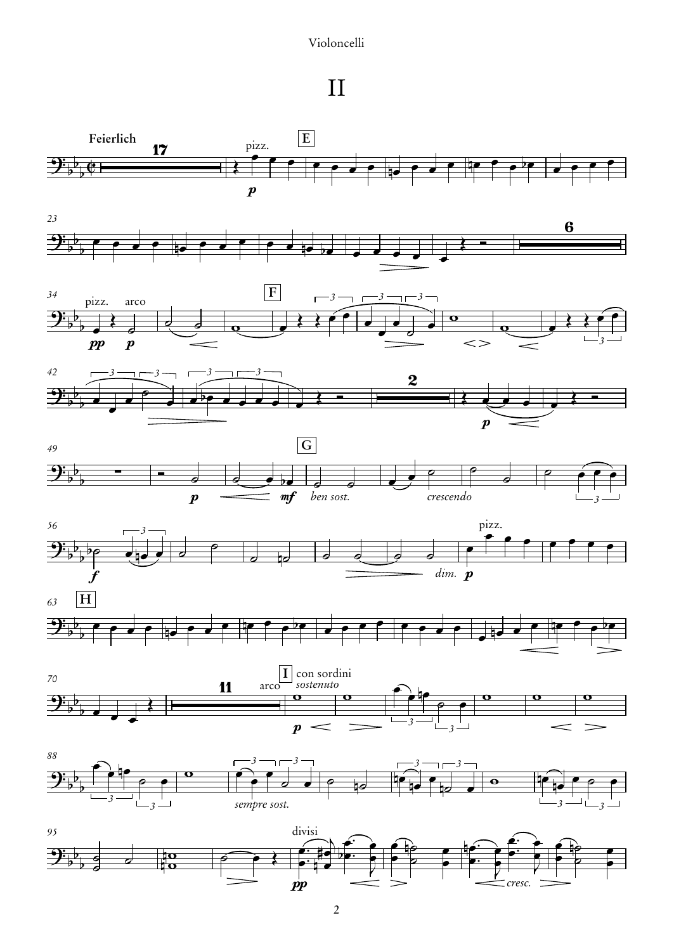## Violoncelli

II